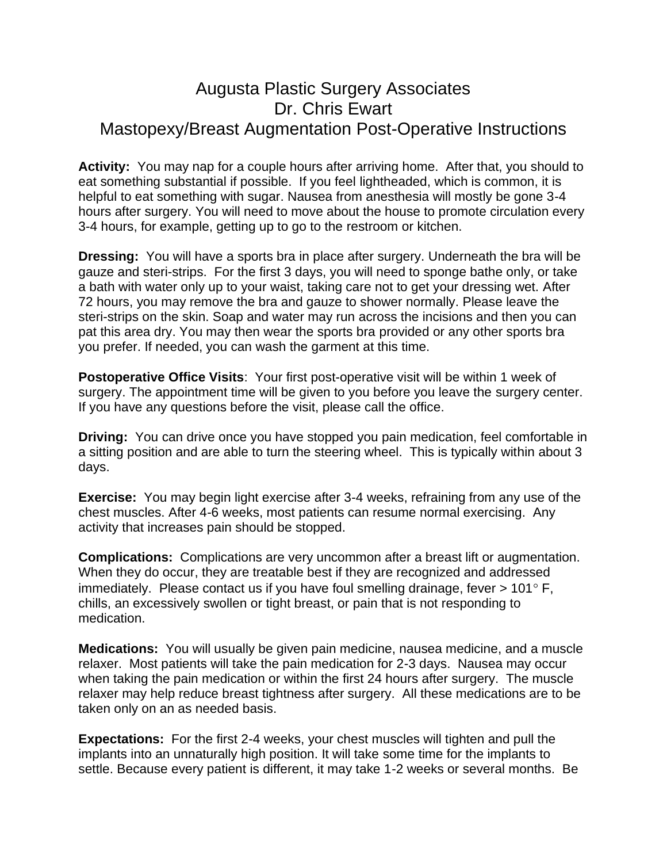## Augusta Plastic Surgery Associates Dr. Chris Ewart Mastopexy/Breast Augmentation Post-Operative Instructions

**Activity:** You may nap for a couple hours after arriving home. After that, you should to eat something substantial if possible. If you feel lightheaded, which is common, it is helpful to eat something with sugar. Nausea from anesthesia will mostly be gone 3-4 hours after surgery. You will need to move about the house to promote circulation every 3-4 hours, for example, getting up to go to the restroom or kitchen.

**Dressing:** You will have a sports bra in place after surgery. Underneath the bra will be gauze and steri-strips. For the first 3 days, you will need to sponge bathe only, or take a bath with water only up to your waist, taking care not to get your dressing wet. After 72 hours, you may remove the bra and gauze to shower normally. Please leave the steri-strips on the skin. Soap and water may run across the incisions and then you can pat this area dry. You may then wear the sports bra provided or any other sports bra you prefer. If needed, you can wash the garment at this time.

**Postoperative Office Visits**: Your first post-operative visit will be within 1 week of surgery. The appointment time will be given to you before you leave the surgery center. If you have any questions before the visit, please call the office.

**Driving:** You can drive once you have stopped you pain medication, feel comfortable in a sitting position and are able to turn the steering wheel. This is typically within about 3 days.

**Exercise:** You may begin light exercise after 3-4 weeks, refraining from any use of the chest muscles. After 4-6 weeks, most patients can resume normal exercising. Any activity that increases pain should be stopped.

**Complications:** Complications are very uncommon after a breast lift or augmentation. When they do occur, they are treatable best if they are recognized and addressed immediately. Please contact us if you have foul smelling drainage, fever  $> 101^{\circ}$  F, chills, an excessively swollen or tight breast, or pain that is not responding to medication.

**Medications:** You will usually be given pain medicine, nausea medicine, and a muscle relaxer. Most patients will take the pain medication for 2-3 days. Nausea may occur when taking the pain medication or within the first 24 hours after surgery. The muscle relaxer may help reduce breast tightness after surgery. All these medications are to be taken only on an as needed basis.

**Expectations:** For the first 2-4 weeks, your chest muscles will tighten and pull the implants into an unnaturally high position. It will take some time for the implants to settle. Because every patient is different, it may take 1-2 weeks or several months. Be